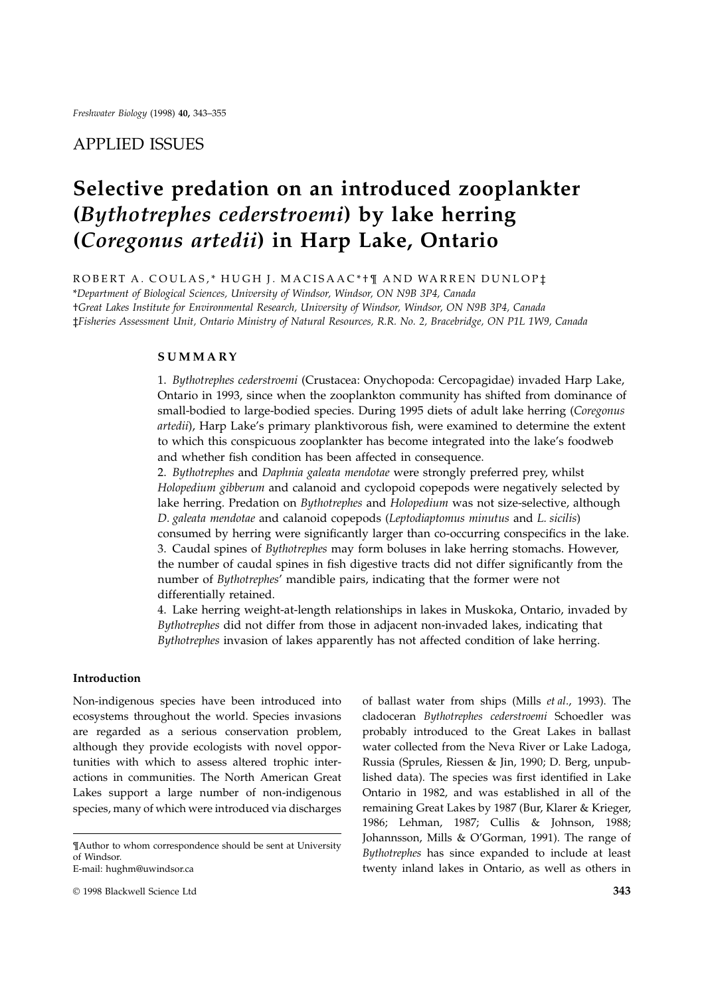# APPLIED ISSUES

# **Selective predation on an introduced zooplankter (***Bythotrephes cederstroemi***) by lake herring (***Coregonus artedii***) in Harp Lake, Ontario**

ROBERT A. COULAS,\* HUGH J. MACISAAC\*†¶ AND WARREN DUNLOP‡ \**Department of Biological Sciences, University of Windsor, Windsor, ON N9B 3P4, Canada* †*Great Lakes Institute for Environmental Research, University of Windsor, Windsor, ON N9B 3P4, Canada* ‡*Fisheries Assessment Unit, Ontario Ministry of Natural Resources, R.R. No. 2, Bracebridge, ON P1L 1W9, Canada*

# **SUMMARY**

1. *Bythotrephes cederstroemi* (Crustacea: Onychopoda: Cercopagidae) invaded Harp Lake, Ontario in 1993, since when the zooplankton community has shifted from dominance of small-bodied to large-bodied species. During 1995 diets of adult lake herring (*Coregonus artedii*), Harp Lake's primary planktivorous fish, were examined to determine the extent to which this conspicuous zooplankter has become integrated into the lake's foodweb and whether fish condition has been affected in consequence.

2. *Bythotrephes* and *Daphnia galeata mendotae* were strongly preferred prey, whilst *Holopedium gibberum* and calanoid and cyclopoid copepods were negatively selected by lake herring. Predation on *Bythotrephes* and *Holopedium* was not size-selective, although *D. galeata mendotae* and calanoid copepods (*Leptodiaptomus minutus* and *L. sicilis*) consumed by herring were significantly larger than co-occurring conspecifics in the lake. 3. Caudal spines of *Bythotrephes* may form boluses in lake herring stomachs. However, the number of caudal spines in fish digestive tracts did not differ significantly from the number of *Bythotrephes*' mandible pairs, indicating that the former were not differentially retained.

4. Lake herring weight-at-length relationships in lakes in Muskoka, Ontario, invaded by *Bythotrephes* did not differ from those in adjacent non-invaded lakes, indicating that *Bythotrephes* invasion of lakes apparently has not affected condition of lake herring.

# **Introduction**

Non-indigenous species have been introduced into ecosystems throughout the world. Species invasions are regarded as a serious conservation problem, although they provide ecologists with novel opportunities with which to assess altered trophic interactions in communities. The North American Great Lakes support a large number of non-indigenous species, many of which were introduced via discharges of ballast water from ships (Mills *et al*., 1993). The cladoceran *Bythotrephes cederstroemi* Schoedler was probably introduced to the Great Lakes in ballast water collected from the Neva River or Lake Ladoga, Russia (Sprules, Riessen & Jin, 1990; D. Berg, unpublished data). The species was first identified in Lake Ontario in 1982, and was established in all of the remaining Great Lakes by 1987 (Bur, Klarer & Krieger, 1986; Lehman, 1987; Cullis & Johnson, 1988; Johannsson, Mills & O'Gorman, 1991). The range of *Bythotrephes* has since expanded to include at least twenty inland lakes in Ontario, as well as others in

<sup>¶</sup>Author to whom correspondence should be sent at University of Windsor.

E-mail: hughm@uwindsor.ca

<sup>© 1998</sup> Blackwell Science Ltd **343**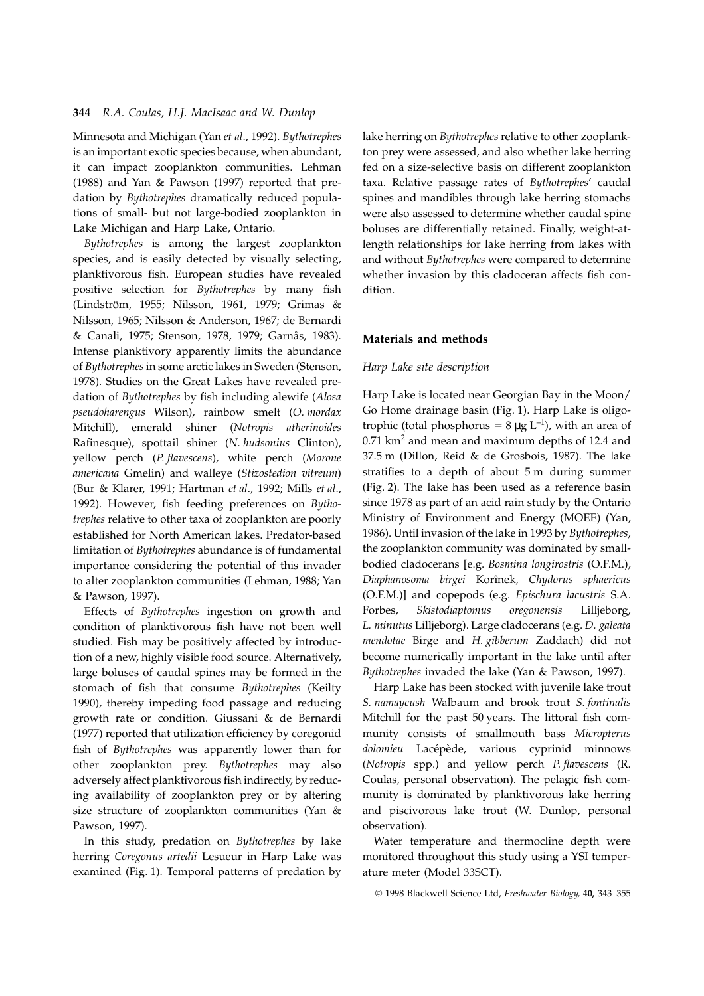#### **344** *R.A. Coulas, H.J. MacIsaac and W. Dunlop*

Minnesota and Michigan (Yan *et al*., 1992). *Bythotrephes* is an important exotic species because, when abundant, it can impact zooplankton communities. Lehman (1988) and Yan & Pawson (1997) reported that predation by *Bythotrephes* dramatically reduced populations of small- but not large-bodied zooplankton in Lake Michigan and Harp Lake, Ontario.

*Bythotrephes* is among the largest zooplankton species, and is easily detected by visually selecting, planktivorous fish. European studies have revealed positive selection for *Bythotrephes* by many fish (Lindström, 1955; Nilsson, 1961, 1979; Grimas & Nilsson, 1965; Nilsson & Anderson, 1967; de Bernardi & Canali, 1975; Stenson, 1978, 1979; Garnås, 1983). Intense planktivory apparently limits the abundance of *Bythotrephes* in some arctic lakes in Sweden (Stenson, 1978). Studies on the Great Lakes have revealed predation of *Bythotrephes* by fish including alewife (*Alosa pseudoharengus* Wilson), rainbow smelt (*O. mordax* Mitchill), emerald shiner (*Notropis atherinoides* Rafinesque), spottail shiner (*N. hudsonius* Clinton), yellow perch (*P. flavescens*), white perch (*Morone americana* Gmelin) and walleye (*Stizostedion vitreum*) (Bur & Klarer, 1991; Hartman *et al*., 1992; Mills *et al*., 1992). However, fish feeding preferences on *Bythotrephes* relative to other taxa of zooplankton are poorly established for North American lakes. Predator-based limitation of *Bythotrephes* abundance is of fundamental importance considering the potential of this invader to alter zooplankton communities (Lehman, 1988; Yan & Pawson, 1997).

Effects of *Bythotrephes* ingestion on growth and condition of planktivorous fish have not been well studied. Fish may be positively affected by introduction of a new, highly visible food source. Alternatively, large boluses of caudal spines may be formed in the stomach of fish that consume *Bythotrephes* (Keilty 1990), thereby impeding food passage and reducing growth rate or condition. Giussani & de Bernardi (1977) reported that utilization efficiency by coregonid fish of *Bythotrephes* was apparently lower than for other zooplankton prey. *Bythotrephes* may also adversely affect planktivorous fish indirectly, by reducing availability of zooplankton prey or by altering size structure of zooplankton communities (Yan & Pawson, 1997).

In this study, predation on *Bythotrephes* by lake herring *Coregonus artedii* Lesueur in Harp Lake was examined (Fig. 1). Temporal patterns of predation by lake herring on *Bythotrephes* relative to other zooplankton prey were assessed, and also whether lake herring fed on a size-selective basis on different zooplankton taxa. Relative passage rates of *Bythotrephes*' caudal spines and mandibles through lake herring stomachs were also assessed to determine whether caudal spine boluses are differentially retained. Finally, weight-atlength relationships for lake herring from lakes with and without *Bythotrephes* were compared to determine whether invasion by this cladoceran affects fish condition.

# **Materials and methods**

# *Harp Lake site description*

Harp Lake is located near Georgian Bay in the Moon/ Go Home drainage basin (Fig. 1). Harp Lake is oligotrophic (total phosphorus =  $8 \mu g L^{-1}$ ), with an area of  $0.71 \text{ km}^2$  and mean and maximum depths of 12.4 and 37.5 m (Dillon, Reid & de Grosbois, 1987). The lake stratifies to a depth of about 5 m during summer (Fig. 2). The lake has been used as a reference basin since 1978 as part of an acid rain study by the Ontario Ministry of Environment and Energy (MOEE) (Yan, 1986). Until invasion of the lake in 1993 by *Bythotrephes*, the zooplankton community was dominated by smallbodied cladocerans [e.g. *Bosmina longirostris* (O.F.M.), *Diaphanosoma birgei* Korıˆnek, *Chydorus sphaericus* (O.F.M.)] and copepods (e.g. *Epischura lacustris* S.A. Forbes, *Skistodiaptomus oregonensis* Lilljeborg, *L. minutus* Lilljeborg). Large cladocerans (e.g. *D. galeata mendotae* Birge and *H. gibberum* Zaddach) did not become numerically important in the lake until after *Bythotrephes* invaded the lake (Yan & Pawson, 1997).

Harp Lake has been stocked with juvenile lake trout *S. namaycush* Walbaum and brook trout *S. fontinalis* Mitchill for the past 50 years. The littoral fish community consists of smallmouth bass *Micropterus* dolomieu Lacépède, various cyprinid minnows (*Notropis* spp.) and yellow perch *P. flavescens* (R. Coulas, personal observation). The pelagic fish community is dominated by planktivorous lake herring and piscivorous lake trout (W. Dunlop, personal observation).

Water temperature and thermocline depth were monitored throughout this study using a YSI temperature meter (Model 33SCT).

<sup>© 1998</sup> Blackwell Science Ltd, *Freshwater Biology*, **40,** 343–355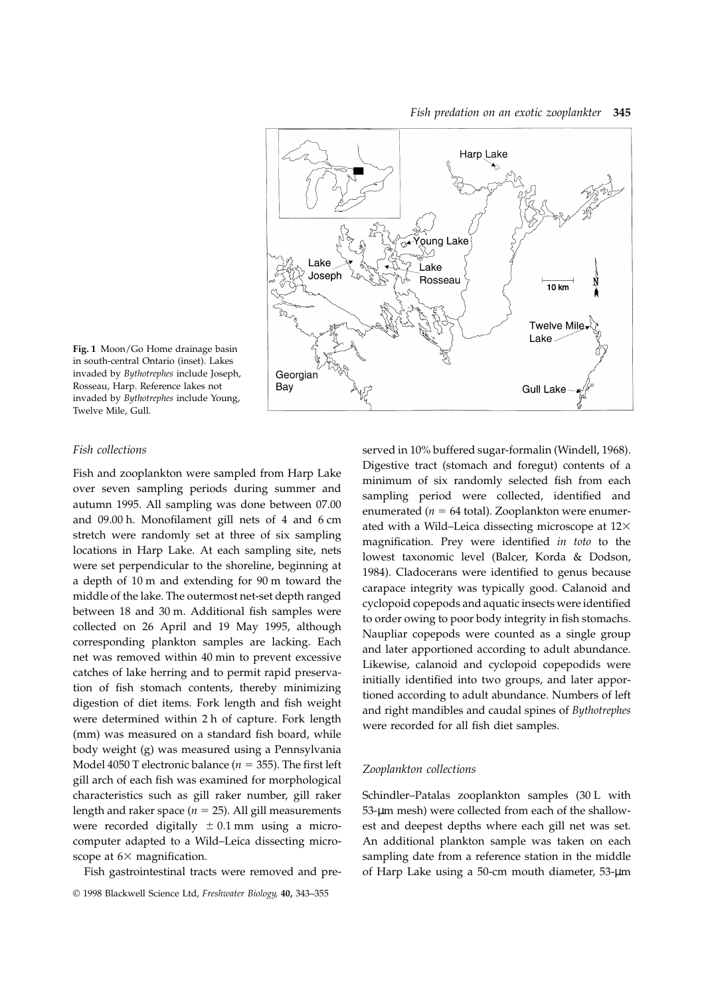

**Fig. 1** Moon/Go Home drainage basin in south-central Ontario (inset). Lakes invaded by *Bythotrephes* include Joseph, Rosseau, Harp. Reference lakes not invaded by *Bythotrephes* include Young, Twelve Mile, Gull.

#### *Fish collections*

Fish and zooplankton were sampled from Harp Lake over seven sampling periods during summer and autumn 1995. All sampling was done between 07.00 and 09.00 h. Monofilament gill nets of 4 and 6 cm stretch were randomly set at three of six sampling locations in Harp Lake. At each sampling site, nets were set perpendicular to the shoreline, beginning at a depth of 10 m and extending for 90 m toward the middle of the lake. The outermost net-set depth ranged between 18 and 30 m. Additional fish samples were collected on 26 April and 19 May 1995, although corresponding plankton samples are lacking. Each net was removed within 40 min to prevent excessive catches of lake herring and to permit rapid preservation of fish stomach contents, thereby minimizing digestion of diet items. Fork length and fish weight were determined within 2 h of capture. Fork length (mm) was measured on a standard fish board, while body weight (g) was measured using a Pennsylvania Model 4050 T electronic balance ( $n = 355$ ). The first left gill arch of each fish was examined for morphological characteristics such as gill raker number, gill raker length and raker space ( $n = 25$ ). All gill measurements were recorded digitally  $\pm$  0.1 mm using a microcomputer adapted to a Wild–Leica dissecting microscope at  $6\times$  magnification.

Fish gastrointestinal tracts were removed and pre-

© 1998 Blackwell Science Ltd, *Freshwater Biology*, **40,** 343–355

served in 10% buffered sugar-formalin (Windell, 1968). Digestive tract (stomach and foregut) contents of a minimum of six randomly selected fish from each sampling period were collected, identified and enumerated ( $n = 64$  total). Zooplankton were enumerated with a Wild–Leica dissecting microscope at  $12\times$ magnification. Prey were identified *in toto* to the lowest taxonomic level (Balcer, Korda & Dodson, 1984). Cladocerans were identified to genus because carapace integrity was typically good. Calanoid and cyclopoid copepods and aquatic insects were identified to order owing to poor body integrity in fish stomachs. Naupliar copepods were counted as a single group and later apportioned according to adult abundance. Likewise, calanoid and cyclopoid copepodids were initially identified into two groups, and later apportioned according to adult abundance. Numbers of left and right mandibles and caudal spines of *Bythotrephes* were recorded for all fish diet samples.

#### *Zooplankton collections*

Schindler–Patalas zooplankton samples (30 L with 53-µm mesh) were collected from each of the shallowest and deepest depths where each gill net was set. An additional plankton sample was taken on each sampling date from a reference station in the middle of Harp Lake using a 50-cm mouth diameter, 53-µm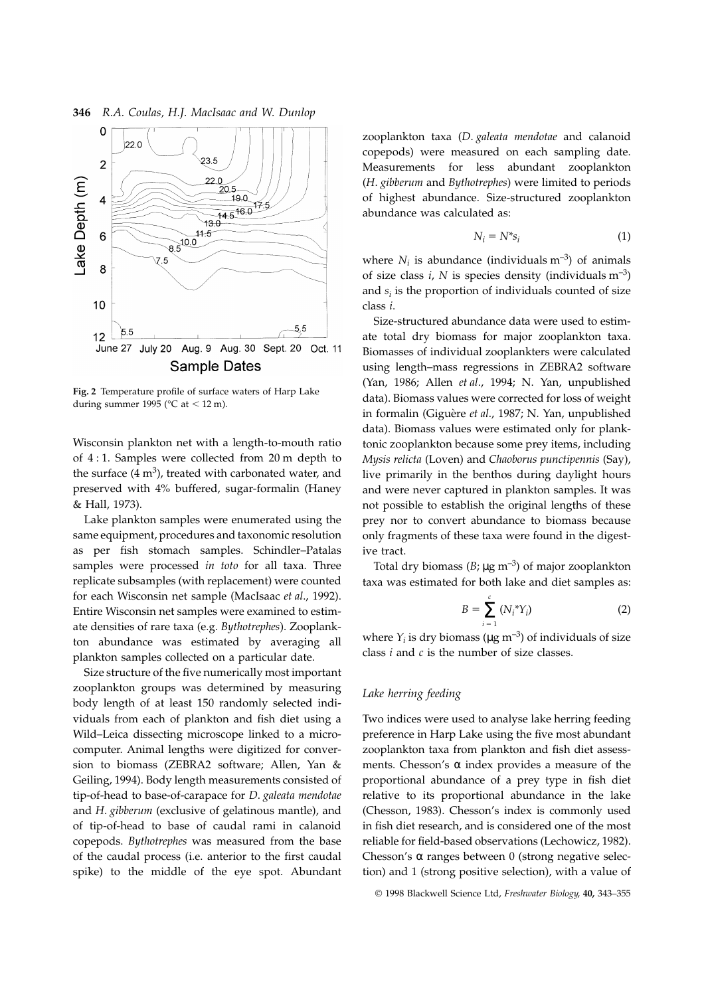

**Fig. 2** Temperature profile of surface waters of Harp Lake during summer 1995 ( $°C$  at < 12 m).

Wisconsin plankton net with a length-to-mouth ratio of 4 : 1. Samples were collected from 20 m depth to the surface  $(4 \text{ m}^3)$ , treated with carbonated water, and preserved with 4% buffered, sugar-formalin (Haney & Hall, 1973).

Lake plankton samples were enumerated using the same equipment, procedures and taxonomic resolution as per fish stomach samples. Schindler–Patalas samples were processed *in toto* for all taxa. Three replicate subsamples (with replacement) were counted for each Wisconsin net sample (MacIsaac *et al*., 1992). Entire Wisconsin net samples were examined to estimate densities of rare taxa (e.g. *Bythotrephes*). Zooplankton abundance was estimated by averaging all plankton samples collected on a particular date.

Size structure of the five numerically most important zooplankton groups was determined by measuring body length of at least 150 randomly selected individuals from each of plankton and fish diet using a Wild–Leica dissecting microscope linked to a microcomputer. Animal lengths were digitized for conversion to biomass (ZEBRA2 software; Allen, Yan & Geiling, 1994). Body length measurements consisted of tip-of-head to base-of-carapace for *D*. *galeata mendotae* and *H*. *gibberum* (exclusive of gelatinous mantle), and of tip-of-head to base of caudal rami in calanoid copepods. *Bythotrephes* was measured from the base of the caudal process (i.e. anterior to the first caudal spike) to the middle of the eye spot. Abundant

zooplankton taxa (*D*. *galeata mendotae* and calanoid copepods) were measured on each sampling date. Measurements for less abundant zooplankton (*H*. *gibberum* and *Bythotrephes*) were limited to periods of highest abundance. Size-structured zooplankton abundance was calculated as:

$$
N_i = N^* s_i \tag{1}
$$

where  $N_i$  is abundance (individuals  $m^{-3}$ ) of animals of size class *i*, *N* is species density (individuals  $m^{-3}$ ) and *si* is the proportion of individuals counted of size class *i*.

Size-structured abundance data were used to estimate total dry biomass for major zooplankton taxa. Biomasses of individual zooplankters were calculated using length–mass regressions in ZEBRA2 software (Yan, 1986; Allen *et al*., 1994; N. Yan, unpublished data). Biomass values were corrected for loss of weight in formalin (Giguère et al., 1987; N. Yan, unpublished data). Biomass values were estimated only for planktonic zooplankton because some prey items, including *Mysis relicta* (Loven) and *Chaoborus punctipennis* (Say), live primarily in the benthos during daylight hours and were never captured in plankton samples. It was not possible to establish the original lengths of these prey nor to convert abundance to biomass because only fragments of these taxa were found in the digestive tract.

Total dry biomass  $(B; \mu g \, \text{m}^{-3})$  of major zooplankton taxa was estimated for both lake and diet samples as:

$$
B = \sum_{i=1}^{c} (N_i^* Y_i)
$$
 (2)

where  $Y_i$  is dry biomass ( $\mu$ g m<sup>-3</sup>) of individuals of size class *i* and *c* is the number of size classes.

#### *Lake herring feeding*

Two indices were used to analyse lake herring feeding preference in Harp Lake using the five most abundant zooplankton taxa from plankton and fish diet assessments. Chesson's  $\alpha$  index provides a measure of the proportional abundance of a prey type in fish diet relative to its proportional abundance in the lake (Chesson, 1983). Chesson's index is commonly used in fish diet research, and is considered one of the most reliable for field-based observations (Lechowicz, 1982). Chesson's α ranges between 0 (strong negative selection) and 1 (strong positive selection), with a value of

© 1998 Blackwell Science Ltd, *Freshwater Biology*, **40,** 343–355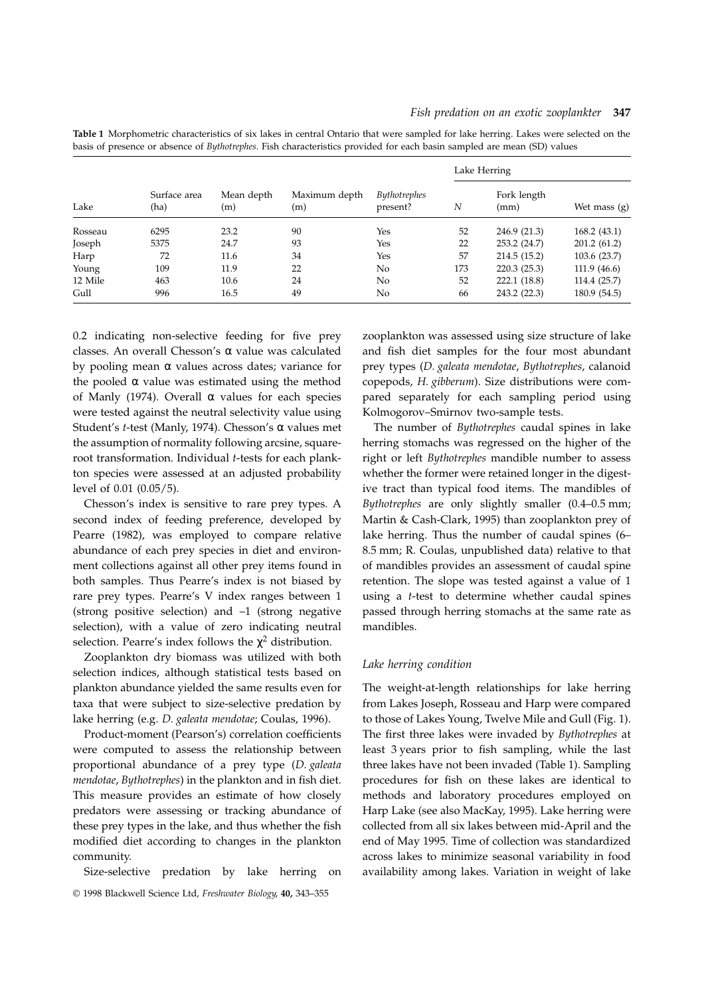| Lake    | Surface area<br>(ha) | Mean depth<br>(m) | Maximum depth<br>(m) | <i>Bythotrephes</i><br>present? | Lake Herring |                     |                |
|---------|----------------------|-------------------|----------------------|---------------------------------|--------------|---------------------|----------------|
|         |                      |                   |                      |                                 | N            | Fork length<br>(mm) | Wet mass $(g)$ |
| Rosseau | 6295                 | 23.2              | 90                   | Yes                             | 52           | 246.9 (21.3)        | 168.2(43.1)    |
| Joseph  | 5375                 | 24.7              | 93                   | Yes                             | 22           | 253.2 (24.7)        | 201.2(61.2)    |
| Harp    | 72                   | 11.6              | 34                   | Yes                             | 57           | 214.5(15.2)         | 103.6(23.7)    |
| Young   | 109                  | 11.9              | 22                   | No                              | 173          | 220.3(25.3)         | 111.9 (46.6)   |

12 Mile 463 10.6 24 No 52 222.1 (18.8) 114.4 (25.7) Gull 996 16.5 49 No 66 243.2 (22.3) 180.9 (54.5)

**Table 1** Morphometric characteristics of six lakes in central Ontario that were sampled for lake herring. Lakes were selected on the basis of presence or absence of *Bythotrephes*. Fish characteristics provided for each basin sampled are mean (SD) values

0.2 indicating non-selective feeding for five prey classes. An overall Chesson's α value was calculated by pooling mean α values across dates; variance for the pooled  $α$  value was estimated using the method of Manly (1974). Overall α values for each species were tested against the neutral selectivity value using Student's *t*-test (Manly, 1974). Chesson's α values met the assumption of normality following arcsine, squareroot transformation. Individual *t*-tests for each plankton species were assessed at an adjusted probability level of 0.01 (0.05/5).

Chesson's index is sensitive to rare prey types. A second index of feeding preference, developed by Pearre (1982), was employed to compare relative abundance of each prey species in diet and environment collections against all other prey items found in both samples. Thus Pearre's index is not biased by rare prey types. Pearre's V index ranges between 1 (strong positive selection) and –1 (strong negative selection), with a value of zero indicating neutral selection. Pearre's index follows the  $\chi^2$  distribution.

Zooplankton dry biomass was utilized with both selection indices, although statistical tests based on plankton abundance yielded the same results even for taxa that were subject to size-selective predation by lake herring (e.g. *D. galeata mendotae*; Coulas, 1996).

Product-moment (Pearson's) correlation coefficients were computed to assess the relationship between proportional abundance of a prey type (*D. galeata mendotae*, *Bythotrephes*) in the plankton and in fish diet. This measure provides an estimate of how closely predators were assessing or tracking abundance of these prey types in the lake, and thus whether the fish modified diet according to changes in the plankton community.

Size-selective predation by lake herring on © 1998 Blackwell Science Ltd, *Freshwater Biology*, **40,** 343–355

zooplankton was assessed using size structure of lake and fish diet samples for the four most abundant prey types (*D. galeata mendotae*, *Bythotrephes*, calanoid copepods, *H. gibberum*). Size distributions were compared separately for each sampling period using Kolmogorov–Smirnov two-sample tests.

The number of *Bythotrephes* caudal spines in lake herring stomachs was regressed on the higher of the right or left *Bythotrephes* mandible number to assess whether the former were retained longer in the digestive tract than typical food items. The mandibles of *Bythotrephes* are only slightly smaller (0.4–0.5 mm; Martin & Cash-Clark, 1995) than zooplankton prey of lake herring. Thus the number of caudal spines (6– 8.5 mm; R. Coulas, unpublished data) relative to that of mandibles provides an assessment of caudal spine retention. The slope was tested against a value of 1 using a *t*-test to determine whether caudal spines passed through herring stomachs at the same rate as mandibles.

#### *Lake herring condition*

The weight-at-length relationships for lake herring from Lakes Joseph, Rosseau and Harp were compared to those of Lakes Young, Twelve Mile and Gull (Fig. 1). The first three lakes were invaded by *Bythotrephes* at least 3 years prior to fish sampling, while the last three lakes have not been invaded (Table 1). Sampling procedures for fish on these lakes are identical to methods and laboratory procedures employed on Harp Lake (see also MacKay, 1995). Lake herring were collected from all six lakes between mid-April and the end of May 1995. Time of collection was standardized across lakes to minimize seasonal variability in food availability among lakes. Variation in weight of lake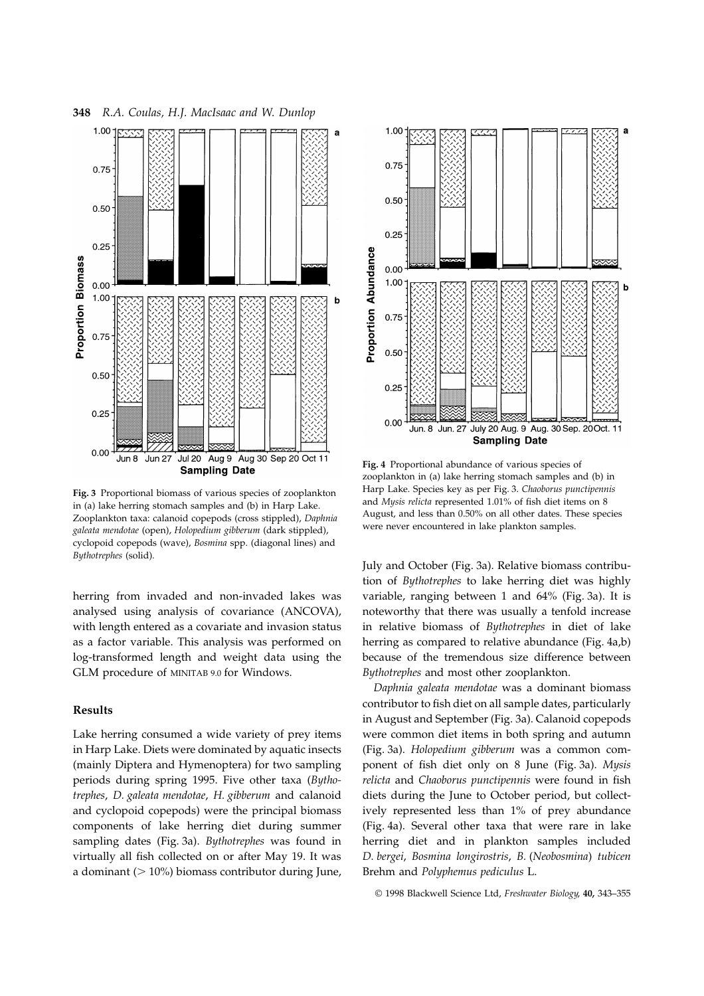

**Fig. 3** Proportional biomass of various species of zooplankton in (a) lake herring stomach samples and (b) in Harp Lake. Zooplankton taxa: calanoid copepods (cross stippled), *Daphnia galeata mendotae* (open), *Holopedium gibberum* (dark stippled), cyclopoid copepods (wave), *Bosmina* spp. (diagonal lines) and *Bythotrephes* (solid).

herring from invaded and non-invaded lakes was analysed using analysis of covariance (ANCOVA), with length entered as a covariate and invasion status as a factor variable. This analysis was performed on log-transformed length and weight data using the GLM procedure of MINITAB 9.0 for Windows.

#### **Results**

Lake herring consumed a wide variety of prey items in Harp Lake. Diets were dominated by aquatic insects (mainly Diptera and Hymenoptera) for two sampling periods during spring 1995. Five other taxa (*Bythotrephes*, *D. galeata mendotae*, *H. gibberum* and calanoid and cyclopoid copepods) were the principal biomass components of lake herring diet during summer sampling dates (Fig. 3a). *Bythotrephes* was found in virtually all fish collected on or after May 19. It was a dominant ( $> 10\%$ ) biomass contributor during June,



**Fig. 4** Proportional abundance of various species of zooplankton in (a) lake herring stomach samples and (b) in Harp Lake. Species key as per Fig. 3. *Chaoborus punctipennis* and *Mysis relicta* represented 1.01% of fish diet items on 8 August, and less than 0.50% on all other dates. These species were never encountered in lake plankton samples.

July and October (Fig. 3a). Relative biomass contribution of *Bythotrephes* to lake herring diet was highly variable, ranging between 1 and 64% (Fig. 3a). It is noteworthy that there was usually a tenfold increase in relative biomass of *Bythotrephes* in diet of lake herring as compared to relative abundance (Fig. 4a,b) because of the tremendous size difference between *Bythotrephes* and most other zooplankton.

*Daphnia galeata mendotae* was a dominant biomass contributor to fish diet on all sample dates, particularly in August and September (Fig. 3a). Calanoid copepods were common diet items in both spring and autumn (Fig. 3a). *Holopedium gibberum* was a common component of fish diet only on 8 June (Fig. 3a). *Mysis relicta* and *Chaoborus punctipennis* were found in fish diets during the June to October period, but collectively represented less than 1% of prey abundance (Fig. 4a). Several other taxa that were rare in lake herring diet and in plankton samples included *D. bergei*, *Bosmina longirostris*, *B.* (*Neobosmina*) *tubicen* Brehm and *Polyphemus pediculus* L.

© 1998 Blackwell Science Ltd, *Freshwater Biology*, **40,** 343–355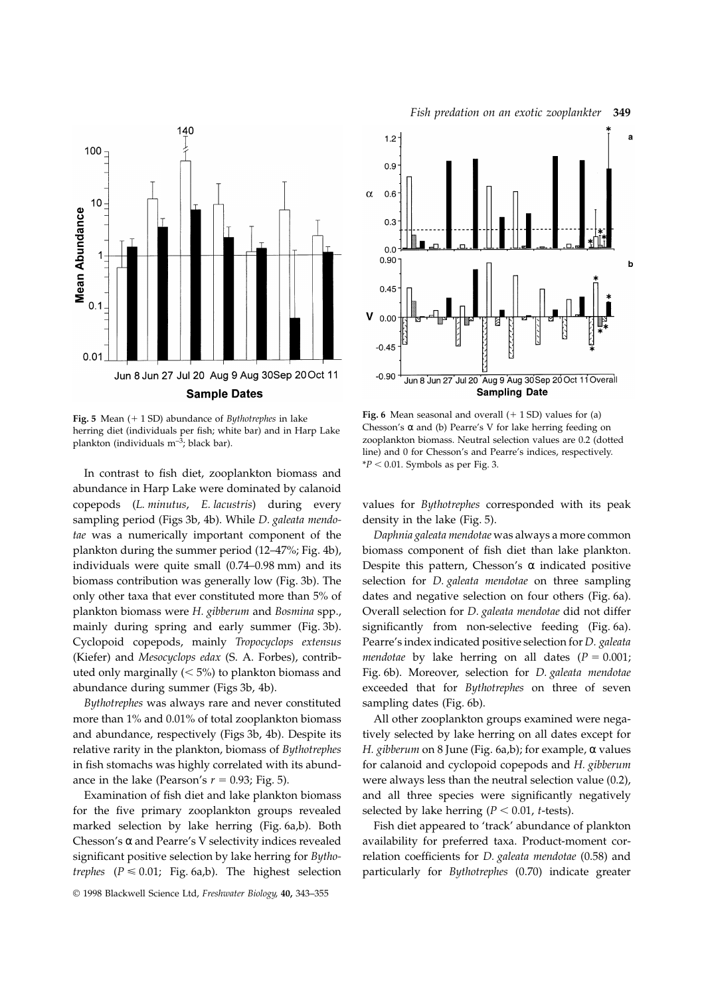

**Fig. 5** Mean  $(+ 1 SD)$  abundance of *Bythotrephes* in lake herring diet (individuals per fish; white bar) and in Harp Lake plankton (individuals  $m^{-3}$ ; black bar).

In contrast to fish diet, zooplankton biomass and abundance in Harp Lake were dominated by calanoid copepods (*L. minutus*, *E. lacustris*) during every sampling period (Figs 3b, 4b). While *D. galeata mendotae* was a numerically important component of the plankton during the summer period (12–47%; Fig. 4b), individuals were quite small (0.74–0.98 mm) and its biomass contribution was generally low (Fig. 3b). The only other taxa that ever constituted more than 5% of plankton biomass were *H. gibberum* and *Bosmina* spp., mainly during spring and early summer (Fig. 3b). Cyclopoid copepods, mainly *Tropocyclops extensus* (Kiefer) and *Mesocyclops edax* (S. A. Forbes), contributed only marginally  $(< 5\%)$  to plankton biomass and abundance during summer (Figs 3b, 4b).

*Bythotrephes* was always rare and never constituted more than 1% and 0.01% of total zooplankton biomass and abundance, respectively (Figs 3b, 4b). Despite its relative rarity in the plankton, biomass of *Bythotrephes* in fish stomachs was highly correlated with its abundance in the lake (Pearson's  $r = 0.93$ ; Fig. 5).

Examination of fish diet and lake plankton biomass for the five primary zooplankton groups revealed marked selection by lake herring (Fig. 6a,b). Both Chesson's α and Pearre's V selectivity indices revealed significant positive selection by lake herring for *Bythotrephes* ( $P \le 0.01$ ; Fig. 6a,b). The highest selection

© 1998 Blackwell Science Ltd, *Freshwater Biology*, **40,** 343–355





**Fig. 6** Mean seasonal and overall  $(+ 1 S$ D) values for (a) Chesson's  $\alpha$  and (b) Pearre's V for lake herring feeding on zooplankton biomass. Neutral selection values are 0.2 (dotted line) and 0 for Chesson's and Pearre's indices, respectively.  $*P < 0.01$ . Symbols as per Fig. 3.

values for *Bythotrephes* corresponded with its peak density in the lake (Fig. 5).

*Daphnia galeata mendotae* was always a more common biomass component of fish diet than lake plankton. Despite this pattern, Chesson's  $\alpha$  indicated positive selection for *D. galeata mendotae* on three sampling dates and negative selection on four others (Fig. 6a). Overall selection for *D. galeata mendotae* did not differ significantly from non-selective feeding (Fig. 6a). Pearre's index indicated positive selection for *D. galeata mendotae* by lake herring on all dates  $(P = 0.001)$ ; Fig. 6b). Moreover, selection for *D. galeata mendotae* exceeded that for *Bythotrephes* on three of seven sampling dates (Fig. 6b).

All other zooplankton groups examined were negatively selected by lake herring on all dates except for *H. gibberum* on 8 June (Fig. 6a,b); for example, α values for calanoid and cyclopoid copepods and *H. gibberum* were always less than the neutral selection value (0.2), and all three species were significantly negatively selected by lake herring ( $P < 0.01$ , *t*-tests).

Fish diet appeared to 'track' abundance of plankton availability for preferred taxa. Product-moment correlation coefficients for *D. galeata mendotae* (0.58) and particularly for *Bythotrephes* (0.70) indicate greater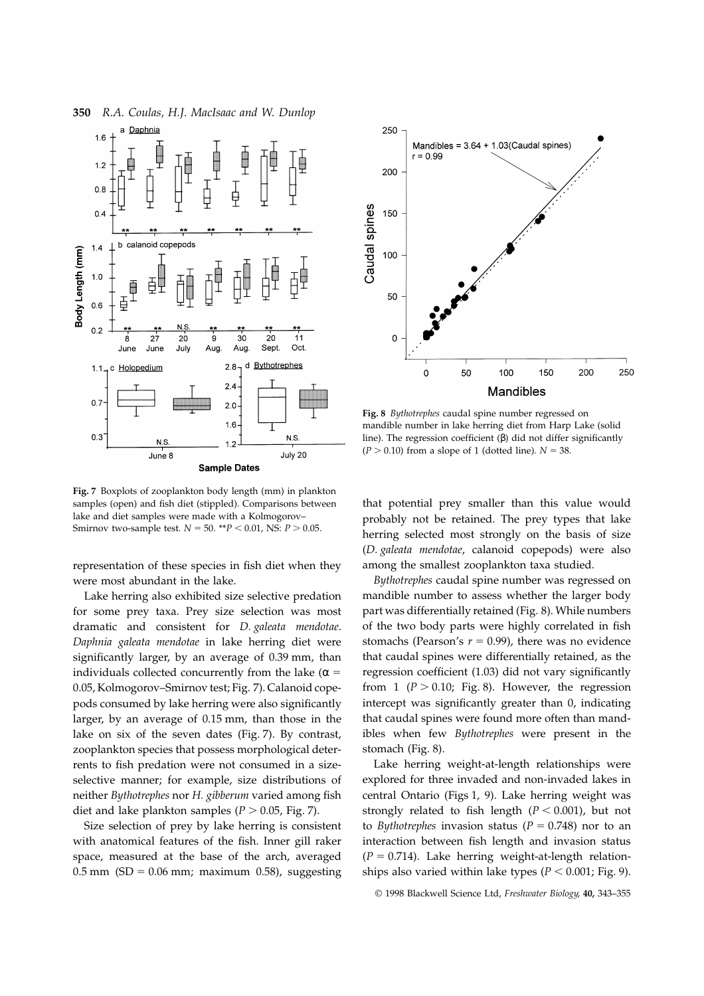

**Fig. 7** Boxplots of zooplankton body length (mm) in plankton samples (open) and fish diet (stippled). Comparisons between lake and diet samples were made with a Kolmogorov– Smirnov two-sample test.  $N = 50$ . \*\* $P > 0.01$ , NS:  $P > 0.05$ .

representation of these species in fish diet when they were most abundant in the lake.

Lake herring also exhibited size selective predation for some prey taxa. Prey size selection was most dramatic and consistent for *D. galeata mendotae*. *Daphnia galeata mendotae* in lake herring diet were significantly larger, by an average of 0.39 mm, than individuals collected concurrently from the lake ( $\alpha =$ 0.05, Kolmogorov–Smirnov test; Fig. 7). Calanoid copepods consumed by lake herring were also significantly larger, by an average of 0.15 mm, than those in the lake on six of the seven dates (Fig. 7). By contrast, zooplankton species that possess morphological deterrents to fish predation were not consumed in a sizeselective manner; for example, size distributions of neither *Bythotrephes* nor *H. gibberum* varied among fish diet and lake plankton samples ( $P > 0.05$ , Fig. 7).

Size selection of prey by lake herring is consistent with anatomical features of the fish. Inner gill raker space, measured at the base of the arch, averaged  $0.5$  mm (SD = 0.06 mm; maximum 0.58), suggesting



**Fig. 8** *Bythotrephes* caudal spine number regressed on mandible number in lake herring diet from Harp Lake (solid line). The regression coefficient (β) did not differ significantly  $(P > 0.10)$  from a slope of 1 (dotted line).  $N = 38$ .

that potential prey smaller than this value would probably not be retained. The prey types that lake herring selected most strongly on the basis of size (*D. galeata mendotae*, calanoid copepods) were also among the smallest zooplankton taxa studied.

*Bythotrephes* caudal spine number was regressed on mandible number to assess whether the larger body part was differentially retained (Fig. 8). While numbers of the two body parts were highly correlated in fish stomachs (Pearson's  $r = 0.99$ ), there was no evidence that caudal spines were differentially retained, as the regression coefficient (1.03) did not vary significantly from 1  $(P > 0.10;$  Fig. 8). However, the regression intercept was significantly greater than 0, indicating that caudal spines were found more often than mandibles when few *Bythotrephes* were present in the stomach (Fig. 8).

Lake herring weight-at-length relationships were explored for three invaded and non-invaded lakes in central Ontario (Figs 1, 9). Lake herring weight was strongly related to fish length  $(P < 0.001)$ , but not to *Bythotrephes* invasion status ( $P = 0.748$ ) nor to an interaction between fish length and invasion status  $(P = 0.714)$ . Lake herring weight-at-length relationships also varied within lake types  $(P < 0.001$ ; Fig. 9).

© 1998 Blackwell Science Ltd, *Freshwater Biology*, **40,** 343–355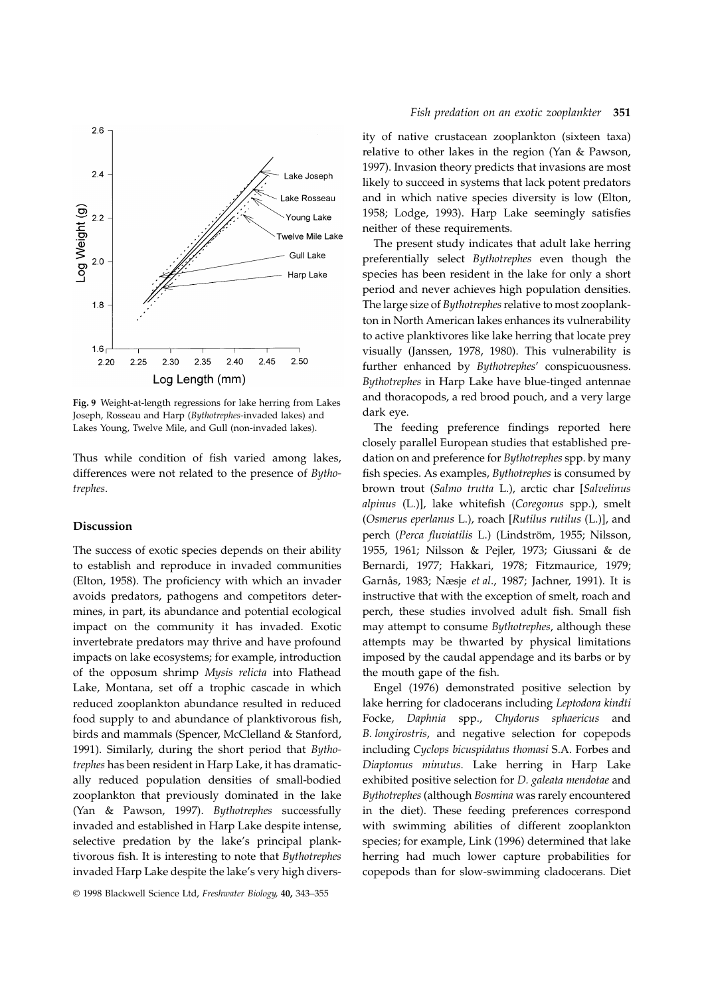

**Fig. 9** Weight-at-length regressions for lake herring from Lakes Joseph, Rosseau and Harp (*Bythotrephes*-invaded lakes) and Lakes Young, Twelve Mile, and Gull (non-invaded lakes).

Thus while condition of fish varied among lakes, differences were not related to the presence of *Bythotrephes*.

#### **Discussion**

The success of exotic species depends on their ability to establish and reproduce in invaded communities (Elton, 1958). The proficiency with which an invader avoids predators, pathogens and competitors determines, in part, its abundance and potential ecological impact on the community it has invaded. Exotic invertebrate predators may thrive and have profound impacts on lake ecosystems; for example, introduction of the opposum shrimp *Mysis relicta* into Flathead Lake, Montana, set off a trophic cascade in which reduced zooplankton abundance resulted in reduced food supply to and abundance of planktivorous fish, birds and mammals (Spencer, McClelland & Stanford, 1991). Similarly, during the short period that *Bythotrephes* has been resident in Harp Lake, it has dramatically reduced population densities of small-bodied zooplankton that previously dominated in the lake (Yan & Pawson, 1997). *Bythotrephes* successfully invaded and established in Harp Lake despite intense, selective predation by the lake's principal planktivorous fish. It is interesting to note that *Bythotrephes* invaded Harp Lake despite the lake's very high divers-

© 1998 Blackwell Science Ltd, *Freshwater Biology*, **40,** 343–355

ity of native crustacean zooplankton (sixteen taxa) relative to other lakes in the region (Yan & Pawson, 1997). Invasion theory predicts that invasions are most likely to succeed in systems that lack potent predators and in which native species diversity is low (Elton, 1958; Lodge, 1993). Harp Lake seemingly satisfies neither of these requirements.

The present study indicates that adult lake herring preferentially select *Bythotrephes* even though the species has been resident in the lake for only a short period and never achieves high population densities. The large size of *Bythotrephes*relative to most zooplankton in North American lakes enhances its vulnerability to active planktivores like lake herring that locate prey visually (Janssen, 1978, 1980). This vulnerability is further enhanced by *Bythotrephes*' conspicuousness. *Bythotrephes* in Harp Lake have blue-tinged antennae and thoracopods, a red brood pouch, and a very large dark eye.

The feeding preference findings reported here closely parallel European studies that established predation on and preference for *Bythotrephes* spp. by many fish species. As examples, *Bythotrephes* is consumed by brown trout (*Salmo trutta* L.), arctic char [*Salvelinus alpinus* (L.)], lake whitefish (*Coregonus* spp.), smelt (*Osmerus eperlanus* L.), roach [*Rutilus rutilus* (L.)], and perch (Perca fluviatilis L.) (Lindström, 1955; Nilsson, 1955, 1961; Nilsson & Pejler, 1973; Giussani & de Bernardi, 1977; Hakkari, 1978; Fitzmaurice, 1979; Garnås, 1983; Næsje *et al*., 1987; Jachner, 1991). It is instructive that with the exception of smelt, roach and perch, these studies involved adult fish. Small fish may attempt to consume *Bythotrephes*, although these attempts may be thwarted by physical limitations imposed by the caudal appendage and its barbs or by the mouth gape of the fish.

Engel (1976) demonstrated positive selection by lake herring for cladocerans including *Leptodora kindti* Focke, *Daphnia* spp., *Chydorus sphaericus* and *B. longirostris*, and negative selection for copepods including *Cyclops bicuspidatus thomasi* S.A. Forbes and *Diaptomus minutus*. Lake herring in Harp Lake exhibited positive selection for *D. galeata mendotae* and *Bythotrephes* (although *Bosmina* was rarely encountered in the diet). These feeding preferences correspond with swimming abilities of different zooplankton species; for example, Link (1996) determined that lake herring had much lower capture probabilities for copepods than for slow-swimming cladocerans. Diet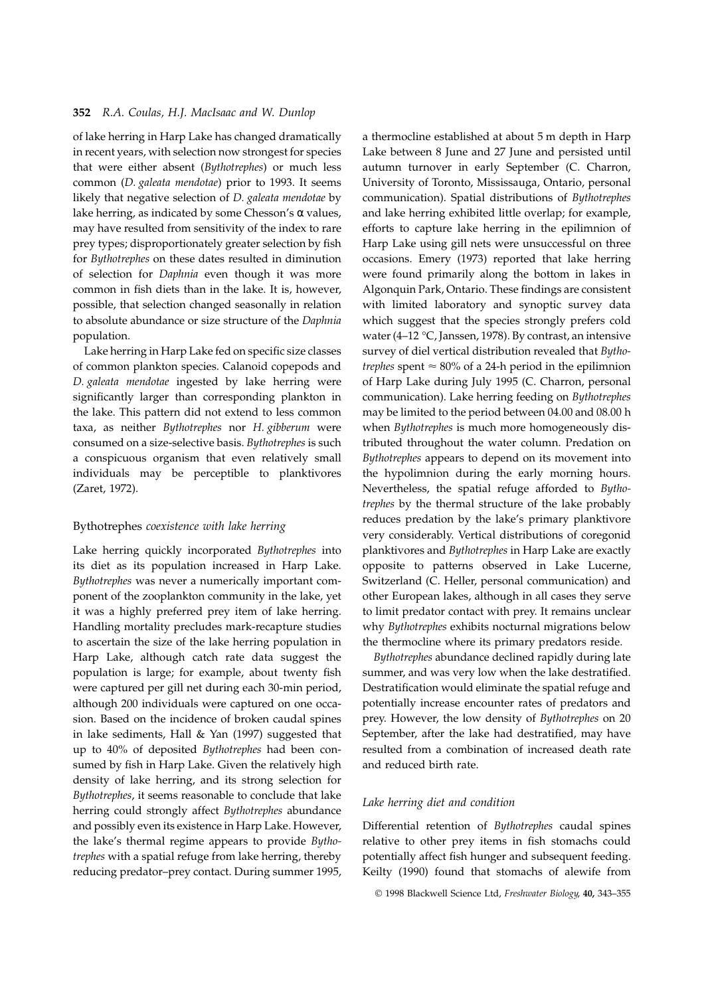# **352** *R.A. Coulas, H.J. MacIsaac and W. Dunlop*

of lake herring in Harp Lake has changed dramatically in recent years, with selection now strongest for species that were either absent (*Bythotrephes*) or much less common (*D. galeata mendotae*) prior to 1993. It seems likely that negative selection of *D. galeata mendotae* by lake herring, as indicated by some Chesson's  $\alpha$  values, may have resulted from sensitivity of the index to rare prey types; disproportionately greater selection by fish for *Bythotrephes* on these dates resulted in diminution of selection for *Daphnia* even though it was more common in fish diets than in the lake. It is, however, possible, that selection changed seasonally in relation to absolute abundance or size structure of the *Daphnia* population.

Lake herring in Harp Lake fed on specific size classes of common plankton species. Calanoid copepods and *D. galeata mendotae* ingested by lake herring were significantly larger than corresponding plankton in the lake. This pattern did not extend to less common taxa, as neither *Bythotrephes* nor *H. gibberum* were consumed on a size-selective basis. *Bythotrephes* is such a conspicuous organism that even relatively small individuals may be perceptible to planktivores (Zaret, 1972).

# Bythotrephes *coexistence with lake herring*

Lake herring quickly incorporated *Bythotrephes* into its diet as its population increased in Harp Lake. *Bythotrephes* was never a numerically important component of the zooplankton community in the lake, yet it was a highly preferred prey item of lake herring. Handling mortality precludes mark-recapture studies to ascertain the size of the lake herring population in Harp Lake, although catch rate data suggest the population is large; for example, about twenty fish were captured per gill net during each 30-min period, although 200 individuals were captured on one occasion. Based on the incidence of broken caudal spines in lake sediments, Hall & Yan (1997) suggested that up to 40% of deposited *Bythotrephes* had been consumed by fish in Harp Lake. Given the relatively high density of lake herring, and its strong selection for *Bythotrephes*, it seems reasonable to conclude that lake herring could strongly affect *Bythotrephes* abundance and possibly even its existence in Harp Lake. However, the lake's thermal regime appears to provide *Bythotrephes* with a spatial refuge from lake herring, thereby reducing predator–prey contact. During summer 1995,

a thermocline established at about 5 m depth in Harp Lake between 8 June and 27 June and persisted until autumn turnover in early September (C. Charron, University of Toronto, Mississauga, Ontario, personal communication). Spatial distributions of *Bythotrephes* and lake herring exhibited little overlap; for example, efforts to capture lake herring in the epilimnion of Harp Lake using gill nets were unsuccessful on three occasions. Emery (1973) reported that lake herring were found primarily along the bottom in lakes in Algonquin Park, Ontario. These findings are consistent with limited laboratory and synoptic survey data which suggest that the species strongly prefers cold water (4–12 °C, Janssen, 1978). By contrast, an intensive survey of diel vertical distribution revealed that *Bythotrephes* spent  $\approx 80\%$  of a 24-h period in the epilimnion of Harp Lake during July 1995 (C. Charron, personal communication). Lake herring feeding on *Bythotrephes* may be limited to the period between 04.00 and 08.00 h when *Bythotrephes* is much more homogeneously distributed throughout the water column. Predation on *Bythotrephes* appears to depend on its movement into the hypolimnion during the early morning hours. Nevertheless, the spatial refuge afforded to *Bythotrephes* by the thermal structure of the lake probably reduces predation by the lake's primary planktivore very considerably. Vertical distributions of coregonid planktivores and *Bythotrephes* in Harp Lake are exactly opposite to patterns observed in Lake Lucerne, Switzerland (C. Heller, personal communication) and other European lakes, although in all cases they serve to limit predator contact with prey. It remains unclear why *Bythotrephes* exhibits nocturnal migrations below the thermocline where its primary predators reside.

*Bythotrephes* abundance declined rapidly during late summer, and was very low when the lake destratified. Destratification would eliminate the spatial refuge and potentially increase encounter rates of predators and prey. However, the low density of *Bythotrephes* on 20 September, after the lake had destratified, may have resulted from a combination of increased death rate and reduced birth rate.

#### *Lake herring diet and condition*

Differential retention of *Bythotrephes* caudal spines relative to other prey items in fish stomachs could potentially affect fish hunger and subsequent feeding. Keilty (1990) found that stomachs of alewife from

<sup>© 1998</sup> Blackwell Science Ltd, *Freshwater Biology*, **40,** 343–355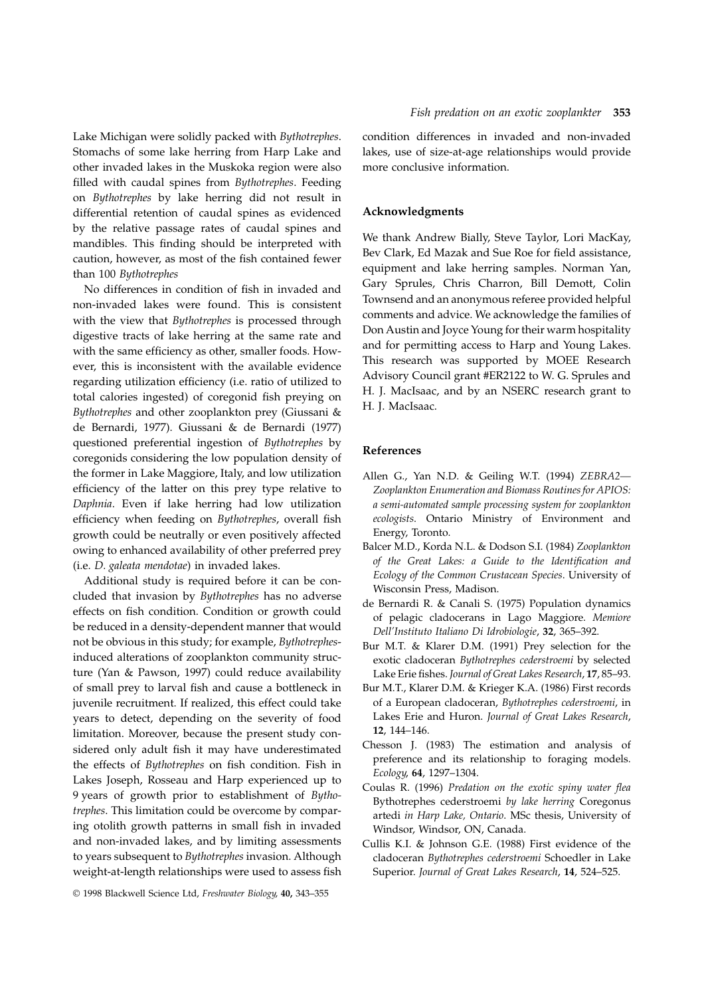Lake Michigan were solidly packed with *Bythotrephes*. Stomachs of some lake herring from Harp Lake and other invaded lakes in the Muskoka region were also filled with caudal spines from *Bythotrephes*. Feeding on *Bythotrephes* by lake herring did not result in differential retention of caudal spines as evidenced by the relative passage rates of caudal spines and mandibles. This finding should be interpreted with caution, however, as most of the fish contained fewer than 100 *Bythotrephes*

No differences in condition of fish in invaded and non-invaded lakes were found. This is consistent with the view that *Bythotrephes* is processed through digestive tracts of lake herring at the same rate and with the same efficiency as other, smaller foods. However, this is inconsistent with the available evidence regarding utilization efficiency (i.e. ratio of utilized to total calories ingested) of coregonid fish preying on *Bythotrephes* and other zooplankton prey (Giussani & de Bernardi, 1977). Giussani & de Bernardi (1977) questioned preferential ingestion of *Bythotrephes* by coregonids considering the low population density of the former in Lake Maggiore, Italy, and low utilization efficiency of the latter on this prey type relative to *Daphnia*. Even if lake herring had low utilization efficiency when feeding on *Bythotrephes*, overall fish growth could be neutrally or even positively affected owing to enhanced availability of other preferred prey (i.e. *D. galeata mendotae*) in invaded lakes.

Additional study is required before it can be concluded that invasion by *Bythotrephes* has no adverse effects on fish condition. Condition or growth could be reduced in a density-dependent manner that would not be obvious in this study; for example, *Bythotrephes*induced alterations of zooplankton community structure (Yan & Pawson, 1997) could reduce availability of small prey to larval fish and cause a bottleneck in juvenile recruitment. If realized, this effect could take years to detect, depending on the severity of food limitation. Moreover, because the present study considered only adult fish it may have underestimated the effects of *Bythotrephes* on fish condition. Fish in Lakes Joseph, Rosseau and Harp experienced up to 9 years of growth prior to establishment of *Bythotrephes*. This limitation could be overcome by comparing otolith growth patterns in small fish in invaded and non-invaded lakes, and by limiting assessments to years subsequent to *Bythotrephes* invasion. Although weight-at-length relationships were used to assess fish

© 1998 Blackwell Science Ltd, *Freshwater Biology*, **40,** 343–355

condition differences in invaded and non-invaded lakes, use of size-at-age relationships would provide more conclusive information.

# **Acknowledgments**

We thank Andrew Bially, Steve Taylor, Lori MacKay, Bev Clark, Ed Mazak and Sue Roe for field assistance, equipment and lake herring samples. Norman Yan, Gary Sprules, Chris Charron, Bill Demott, Colin Townsend and an anonymous referee provided helpful comments and advice. We acknowledge the families of Don Austin and Joyce Young for their warm hospitality and for permitting access to Harp and Young Lakes. This research was supported by MOEE Research Advisory Council grant #ER2122 to W. G. Sprules and H. J. MacIsaac, and by an NSERC research grant to H. J. MacIsaac.

#### **References**

- Allen G., Yan N.D. & Geiling W.T. (1994) *ZEBRA2— Zooplankton Enumeration and Biomass Routines for APIOS: a semi-automated sample processing system for zooplankton ecologists*. Ontario Ministry of Environment and Energy, Toronto.
- Balcer M.D., Korda N.L. & Dodson S.I. (1984) *Zooplankton of the Great Lakes: a Guide to the Identification and Ecology of the Common Crustacean Species*. University of Wisconsin Press, Madison.
- de Bernardi R. & Canali S. (1975) Population dynamics of pelagic cladocerans in Lago Maggiore. *Memiore Dell'Instituto Italiano Di Idrobiologie*, **32**, 365–392.
- Bur M.T. & Klarer D.M. (1991) Prey selection for the exotic cladoceran *Bythotrephes cederstroemi* by selected Lake Erie fishes. *Journal of Great Lakes Research*, **17**, 85–93.
- Bur M.T., Klarer D.M. & Krieger K.A. (1986) First records of a European cladoceran, *Bythotrephes cederstroemi*, in Lakes Erie and Huron. *Journal of Great Lakes Research*, **12**, 144–146.
- Chesson J. (1983) The estimation and analysis of preference and its relationship to foraging models. *Ecology*, **64**, 1297–1304.
- Coulas R. (1996) *Predation on the exotic spiny water flea* Bythotrephes cederstroemi *by lake herring* Coregonus artedi *in Harp Lake, Ontario*. MSc thesis, University of Windsor, Windsor, ON, Canada.
- Cullis K.I. & Johnson G.E. (1988) First evidence of the cladoceran *Bythotrephes cederstroemi* Schoedler in Lake Superior. *Journal of Great Lakes Research*, **14**, 524–525.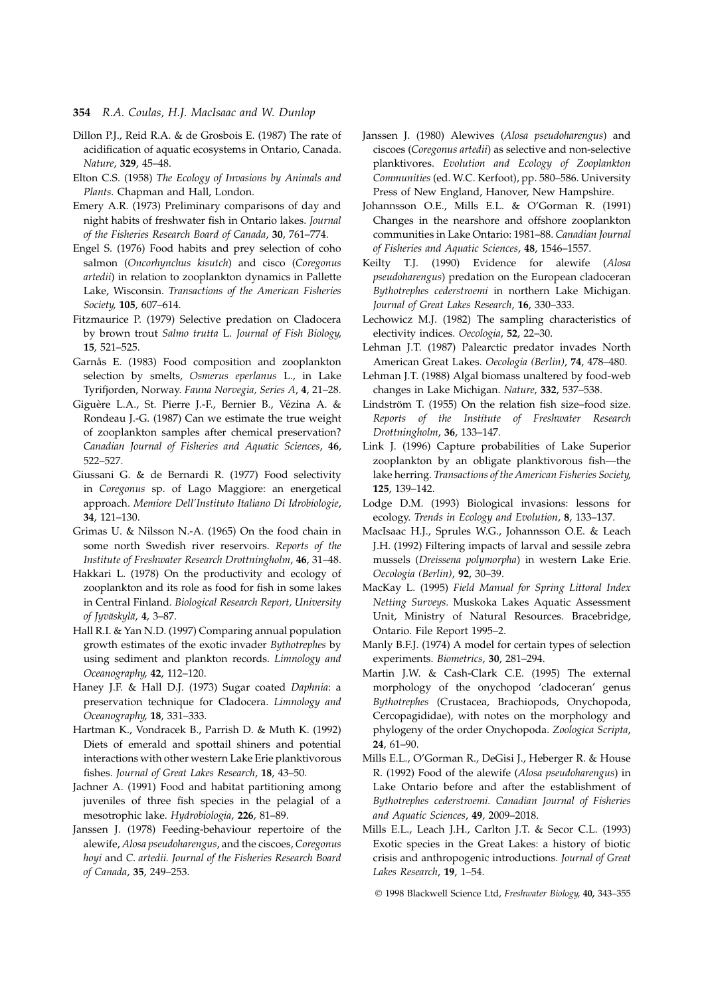**354** *R.A. Coulas, H.J. MacIsaac and W. Dunlop*

- Dillon P.J., Reid R.A. & de Grosbois E. (1987) The rate of acidification of aquatic ecosystems in Ontario, Canada. *Nature*, **329**, 45–48.
- Elton C.S. (1958) *The Ecology of Invasions by Animals and Plants*. Chapman and Hall, London.
- Emery A.R. (1973) Preliminary comparisons of day and night habits of freshwater fish in Ontario lakes. *Journal of the Fisheries Research Board of Canada*, **30**, 761–774.
- Engel S. (1976) Food habits and prey selection of coho salmon (*Oncorhynchus kisutch*) and cisco (*Coregonus artedii*) in relation to zooplankton dynamics in Pallette Lake, Wisconsin. *Transactions of the American Fisheries Society*, **105**, 607–614.
- Fitzmaurice P. (1979) Selective predation on Cladocera by brown trout *Salmo trutta* L. *Journal of Fish Biology*, **15**, 521–525.
- Garnås E. (1983) Food composition and zooplankton selection by smelts, *Osmerus eperlanus* L., in Lake Tyrifjorden, Norway. *Fauna Norvegia, Series A*, **4**, 21–28.
- Giguère L.A., St. Pierre J.-F., Bernier B., Vézina A. & Rondeau J.-G. (1987) Can we estimate the true weight of zooplankton samples after chemical preservation? *Canadian Journal of Fisheries and Aquatic Sciences*, **46**, 522–527.
- Giussani G. & de Bernardi R. (1977) Food selectivity in *Coregonus* sp. of Lago Maggiore: an energetical approach. *Memiore Dell'Instituto Italiano Di Idrobiologie*, **34**, 121–130.
- Grimas U. & Nilsson N.-A. (1965) On the food chain in some north Swedish river reservoirs. *Reports of the Institute of Freshwater Research Drottningholm*, **46**, 31–48.
- Hakkari L. (1978) On the productivity and ecology of zooplankton and its role as food for fish in some lakes in Central Finland. *Biological Research Report, University of Jyva¨skyla¨*, **4**, 3–87.
- Hall R.I. & Yan N.D. (1997) Comparing annual population growth estimates of the exotic invader *Bythotrephes* by using sediment and plankton records. *Limnology and Oceanography*, **42**, 112–120.
- Haney J.F. & Hall D.J. (1973) Sugar coated *Daphnia*: a preservation technique for Cladocera. *Limnology and Oceanography*, **18**, 331–333.
- Hartman K., Vondracek B., Parrish D. & Muth K. (1992) Diets of emerald and spottail shiners and potential interactions with other western Lake Erie planktivorous fishes. *Journal of Great Lakes Research*, **18**, 43–50.
- Jachner A. (1991) Food and habitat partitioning among juveniles of three fish species in the pelagial of a mesotrophic lake. *Hydrobiologia*, **226**, 81–89.
- Janssen J. (1978) Feeding-behaviour repertoire of the alewife, *Alosa pseudoharengus*, and the ciscoes, *Coregonus hoyi* and *C. artedii. Journal of the Fisheries Research Board of Canada*, **35**, 249–253.
- Janssen J. (1980) Alewives (*Alosa pseudoharengus*) and ciscoes (*Coregonus artedii*) as selective and non-selective planktivores. *Evolution and Ecology of Zooplankton Communities* (ed. W.C. Kerfoot), pp. 580–586. University Press of New England, Hanover, New Hampshire.
- Johannsson O.E., Mills E.L. & O'Gorman R. (1991) Changes in the nearshore and offshore zooplankton communities in Lake Ontario: 1981–88. *Canadian Journal of Fisheries and Aquatic Sciences*, **48**, 1546–1557.
- Keilty T.J. (1990) Evidence for alewife (*Alosa pseudoharengus*) predation on the European cladoceran *Bythotrephes cederstroemi* in northern Lake Michigan. *Journal of Great Lakes Research*, **16**, 330–333.
- Lechowicz M.J. (1982) The sampling characteristics of electivity indices. *Oecologia*, **52**, 22–30.
- Lehman J.T. (1987) Palearctic predator invades North American Great Lakes. *Oecologia (Berlin)*, **74**, 478–480.
- Lehman J.T. (1988) Algal biomass unaltered by food-web changes in Lake Michigan. *Nature*, **332**, 537–538.
- Lindström T. (1955) On the relation fish size–food size. *Reports of the Institute of Freshwater Research Drottningholm*, **36**, 133–147.
- Link J. (1996) Capture probabilities of Lake Superior zooplankton by an obligate planktivorous fish—the lake herring. *Transactions of the American Fisheries Society*, **125**, 139–142.
- Lodge D.M. (1993) Biological invasions: lessons for ecology. *Trends in Ecology and Evolution*, **8**, 133–137.
- MacIsaac H.J., Sprules W.G., Johannsson O.E. & Leach J.H. (1992) Filtering impacts of larval and sessile zebra mussels (*Dreissena polymorpha*) in western Lake Erie. *Oecologia (Berlin)*, **92**, 30–39.
- MacKay L. (1995) *Field Manual for Spring Littoral Index Netting Surveys.* Muskoka Lakes Aquatic Assessment Unit, Ministry of Natural Resources. Bracebridge, Ontario. File Report 1995–2.
- Manly B.F.J. (1974) A model for certain types of selection experiments. *Biometrics*, **30**, 281–294.
- Martin J.W. & Cash-Clark C.E. (1995) The external morphology of the onychopod 'cladoceran' genus *Bythotrephes* (Crustacea, Brachiopods, Onychopoda, Cercopagididae), with notes on the morphology and phylogeny of the order Onychopoda. *Zoologica Scripta*, **24**, 61–90.
- Mills E.L., O'Gorman R., DeGisi J., Heberger R. & House R. (1992) Food of the alewife (*Alosa pseudoharengus*) in Lake Ontario before and after the establishment of *Bythotrephes cederstroemi. Canadian Journal of Fisheries and Aquatic Sciences*, **49**, 2009–2018.
- Mills E.L., Leach J.H., Carlton J.T. & Secor C.L. (1993) Exotic species in the Great Lakes: a history of biotic crisis and anthropogenic introductions. *Journal of Great Lakes Research*, **19**, 1–54.

<sup>© 1998</sup> Blackwell Science Ltd, *Freshwater Biology*, **40,** 343–355